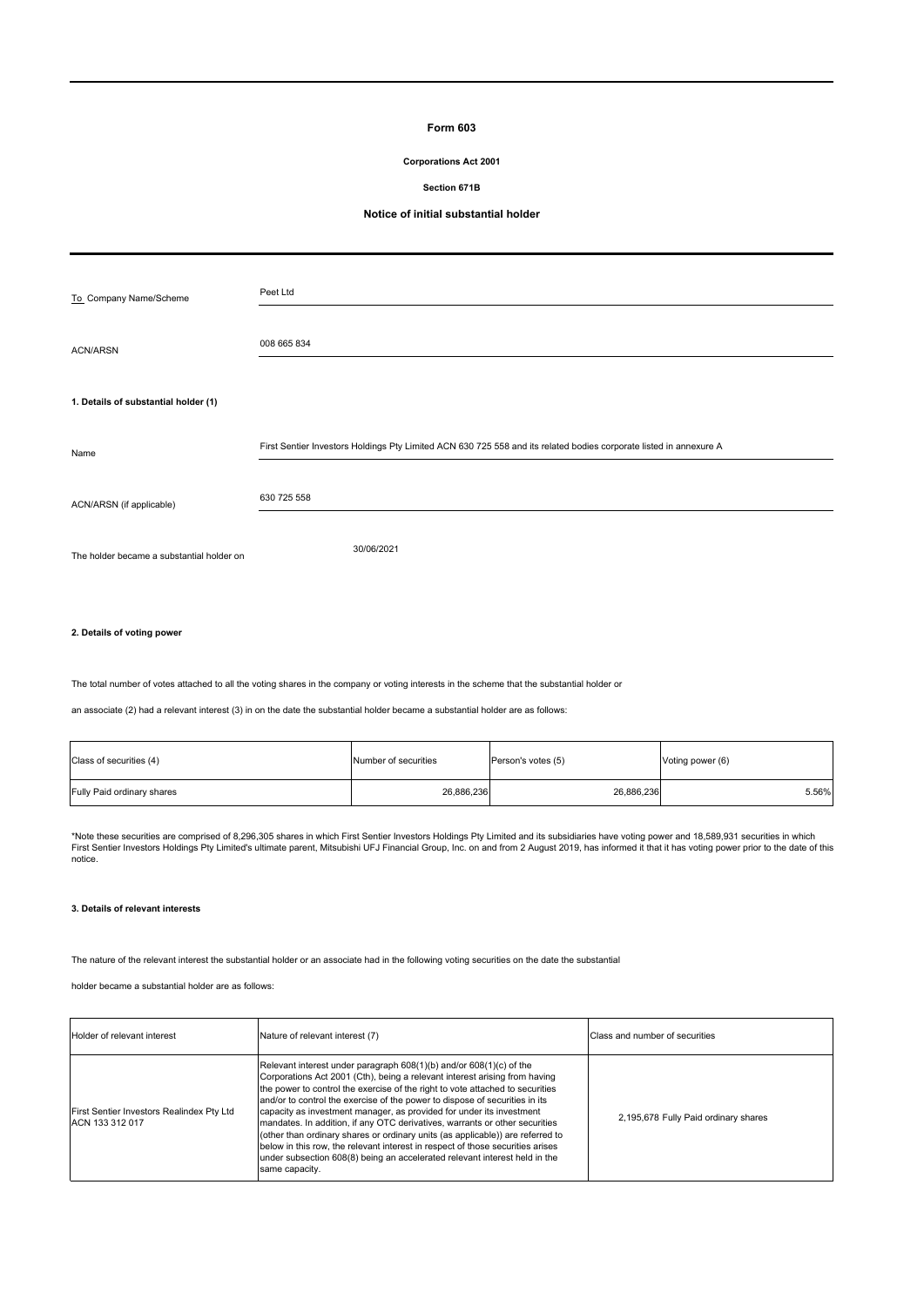# **Form 603**

### **Corporations Act 2001**

#### **Section 671B**

#### **Notice of initial substantial holder**

| To_Company Name/Scheme                    | Peet Ltd                                                                                                           |
|-------------------------------------------|--------------------------------------------------------------------------------------------------------------------|
| <b>ACN/ARSN</b>                           | 008 665 834                                                                                                        |
| 1. Details of substantial holder (1)      |                                                                                                                    |
| Name                                      | First Sentier Investors Holdings Pty Limited ACN 630 725 558 and its related bodies corporate listed in annexure A |
| ACN/ARSN (if applicable)                  | 630 725 558                                                                                                        |
| The holder became a substantial holder on | 30/06/2021                                                                                                         |
|                                           |                                                                                                                    |

#### **2. Details of voting power**

The total number of votes attached to all the voting shares in the company or voting interests in the scheme that the substantial holder or

an associate (2) had a relevant interest (3) in on the date the substantial holder became a substantial holder are as follows:

| Class of securities (4)    | Number of securities | Person's votes (5) | Voting power (6) |
|----------------------------|----------------------|--------------------|------------------|
| Fully Paid ordinary shares | 26,886,236           | 26,886,236         | 5.56%            |

\*Note these securities are comprised of 8,296,305 shares in which First Sentier Investors Holdings Pty Limited and its subsidiaries have voting power and 18,589,931 securities in which<br>First Sentier Investors Holdings Pty notice.

#### **3. Details of relevant interests**

The nature of the relevant interest the substantial holder or an associate had in the following voting securities on the date the substantial

holder became a substantial holder are as follows:

| Holder of relevant interest                                  | Nature of relevant interest (7)                                                                                                                                                                                                                                                                                                                                                                                                                                                                                                                                                                                                                                                                                                              | Class and number of securities       |
|--------------------------------------------------------------|----------------------------------------------------------------------------------------------------------------------------------------------------------------------------------------------------------------------------------------------------------------------------------------------------------------------------------------------------------------------------------------------------------------------------------------------------------------------------------------------------------------------------------------------------------------------------------------------------------------------------------------------------------------------------------------------------------------------------------------------|--------------------------------------|
| First Sentier Investors Realindex Pty Ltd<br>ACN 133 312 017 | Relevant interest under paragraph 608(1)(b) and/or 608(1)(c) of the<br>Corporations Act 2001 (Cth), being a relevant interest arising from having<br>the power to control the exercise of the right to vote attached to securities<br>and/or to control the exercise of the power to dispose of securities in its<br>capacity as investment manager, as provided for under its investment<br>mandates. In addition, if any OTC derivatives, warrants or other securities<br>(other than ordinary shares or ordinary units (as applicable)) are referred to<br>below in this row, the relevant interest in respect of those securities arises<br>under subsection 608(8) being an accelerated relevant interest held in the<br>same capacity. | 2.195.678 Fully Paid ordinary shares |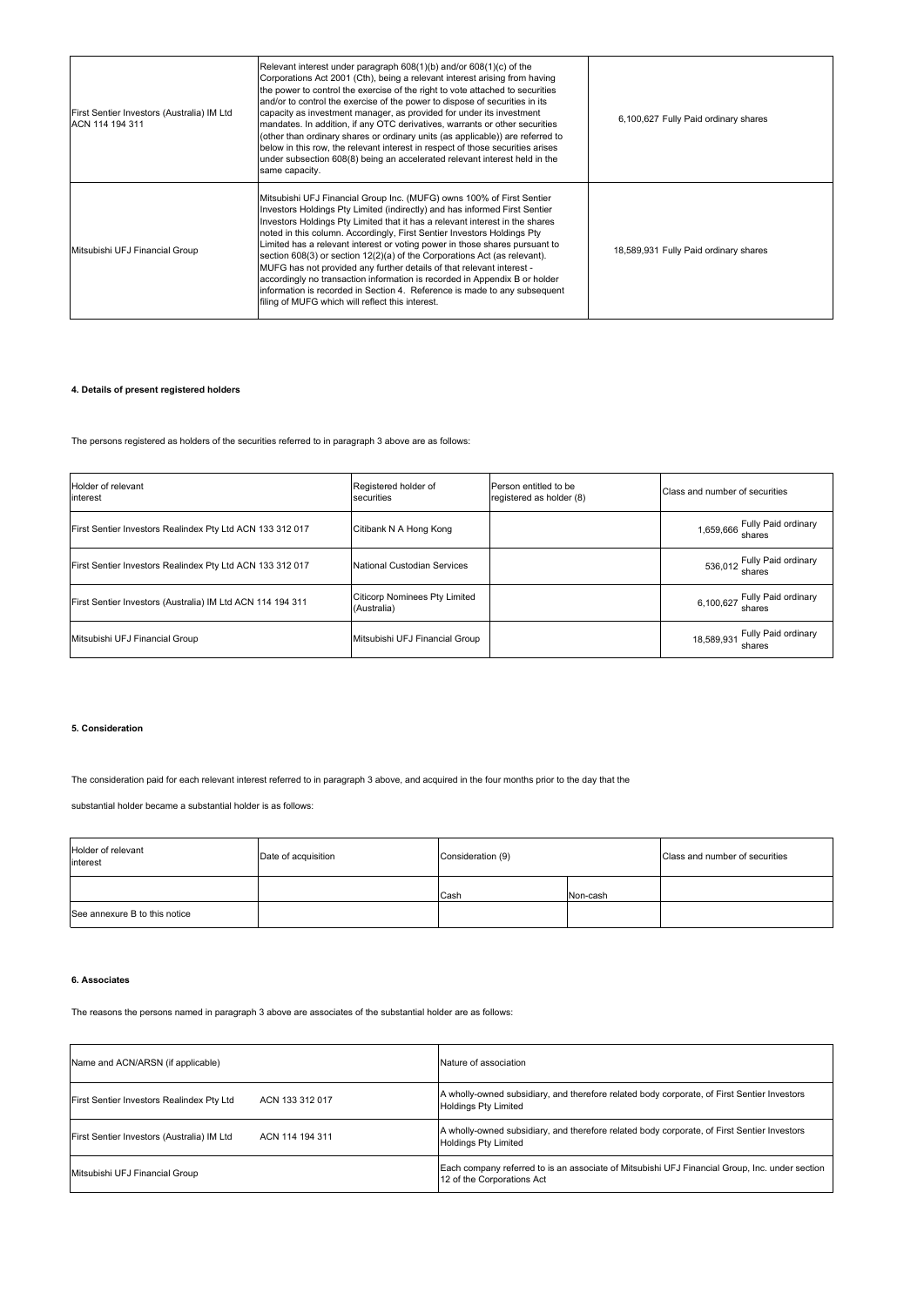| First Sentier Investors (Australia) IM Ltd<br>ACN 114 194 311 | Relevant interest under paragraph 608(1)(b) and/or 608(1)(c) of the<br>Corporations Act 2001 (Cth), being a relevant interest arising from having<br>the power to control the exercise of the right to vote attached to securities<br>and/or to control the exercise of the power to dispose of securities in its<br>capacity as investment manager, as provided for under its investment<br>mandates. In addition, if any OTC derivatives, warrants or other securities<br>(other than ordinary shares or ordinary units (as applicable)) are referred to<br>below in this row, the relevant interest in respect of those securities arises<br>under subsection 608(8) being an accelerated relevant interest held in the<br>same capacity.                       | 6.100.627 Fully Paid ordinary shares  |
|---------------------------------------------------------------|--------------------------------------------------------------------------------------------------------------------------------------------------------------------------------------------------------------------------------------------------------------------------------------------------------------------------------------------------------------------------------------------------------------------------------------------------------------------------------------------------------------------------------------------------------------------------------------------------------------------------------------------------------------------------------------------------------------------------------------------------------------------|---------------------------------------|
| Mitsubishi UFJ Financial Group                                | Mitsubishi UFJ Financial Group Inc. (MUFG) owns 100% of First Sentier<br>Investors Holdings Pty Limited (indirectly) and has informed First Sentier<br>Investors Holdings Pty Limited that it has a relevant interest in the shares<br>noted in this column. Accordingly, First Sentier Investors Holdings Pty<br>Limited has a relevant interest or voting power in those shares pursuant to<br>section 608(3) or section 12(2)(a) of the Corporations Act (as relevant).<br>MUFG has not provided any further details of that relevant interest -<br>accordingly no transaction information is recorded in Appendix B or holder<br>information is recorded in Section 4. Reference is made to any subsequent<br>filing of MUFG which will reflect this interest. | 18,589,931 Fully Paid ordinary shares |

# **4. Details of present registered holders**

The persons registered as holders of the securities referred to in paragraph 3 above are as follows:

| Holder of relevant<br>interest                             | Registered holder of<br>securities                  | Person entitled to be<br>registered as holder (8) | Class and number of securities           |
|------------------------------------------------------------|-----------------------------------------------------|---------------------------------------------------|------------------------------------------|
| First Sentier Investors Realindex Pty Ltd ACN 133 312 017  | Citibank N A Hong Kong                              |                                                   | 1,659,666 Fully Paid ordinary<br>shares  |
| First Sentier Investors Realindex Pty Ltd ACN 133 312 017  | National Custodian Services                         |                                                   | 536,012 Fully Paid ordinary              |
| First Sentier Investors (Australia) IM Ltd ACN 114 194 311 | <b>Citicorp Nominees Pty Limited</b><br>(Australia) |                                                   | 6,100,627 Fully Paid ordinary            |
| Mitsubishi UFJ Financial Group                             | Mitsubishi UFJ Financial Group                      |                                                   | 18,589,931 Fully Paid ordinary<br>shares |

### **5. Consideration**

The consideration paid for each relevant interest referred to in paragraph 3 above, and acquired in the four months prior to the day that the

substantial holder became a substantial holder is as follows:

| Holder of relevant<br>interest | Date of acquisition | Consideration (9) |          | Class and number of securities |
|--------------------------------|---------------------|-------------------|----------|--------------------------------|
|                                |                     | Cash              | Non-cash |                                |
| See annexure B to this notice  |                     |                   |          |                                |

#### **6. Associates**

The reasons the persons named in paragraph 3 above are associates of the substantial holder are as follows:

| Name and ACN/ARSN (if applicable)          | Nature of association                                                                                                        |  |  |
|--------------------------------------------|------------------------------------------------------------------------------------------------------------------------------|--|--|
| First Sentier Investors Realindex Pty Ltd  | A wholly-owned subsidiary, and therefore related body corporate, of First Sentier Investors                                  |  |  |
| ACN 133 312 017                            | <b>Holdings Pty Limited</b>                                                                                                  |  |  |
| First Sentier Investors (Australia) IM Ltd | A wholly-owned subsidiary, and therefore related body corporate, of First Sentier Investors                                  |  |  |
| ACN 114 194 311                            | <b>Holdings Pty Limited</b>                                                                                                  |  |  |
| Mitsubishi UFJ Financial Group             | Each company referred to is an associate of Mitsubishi UFJ Financial Group, Inc. under section<br>12 of the Corporations Act |  |  |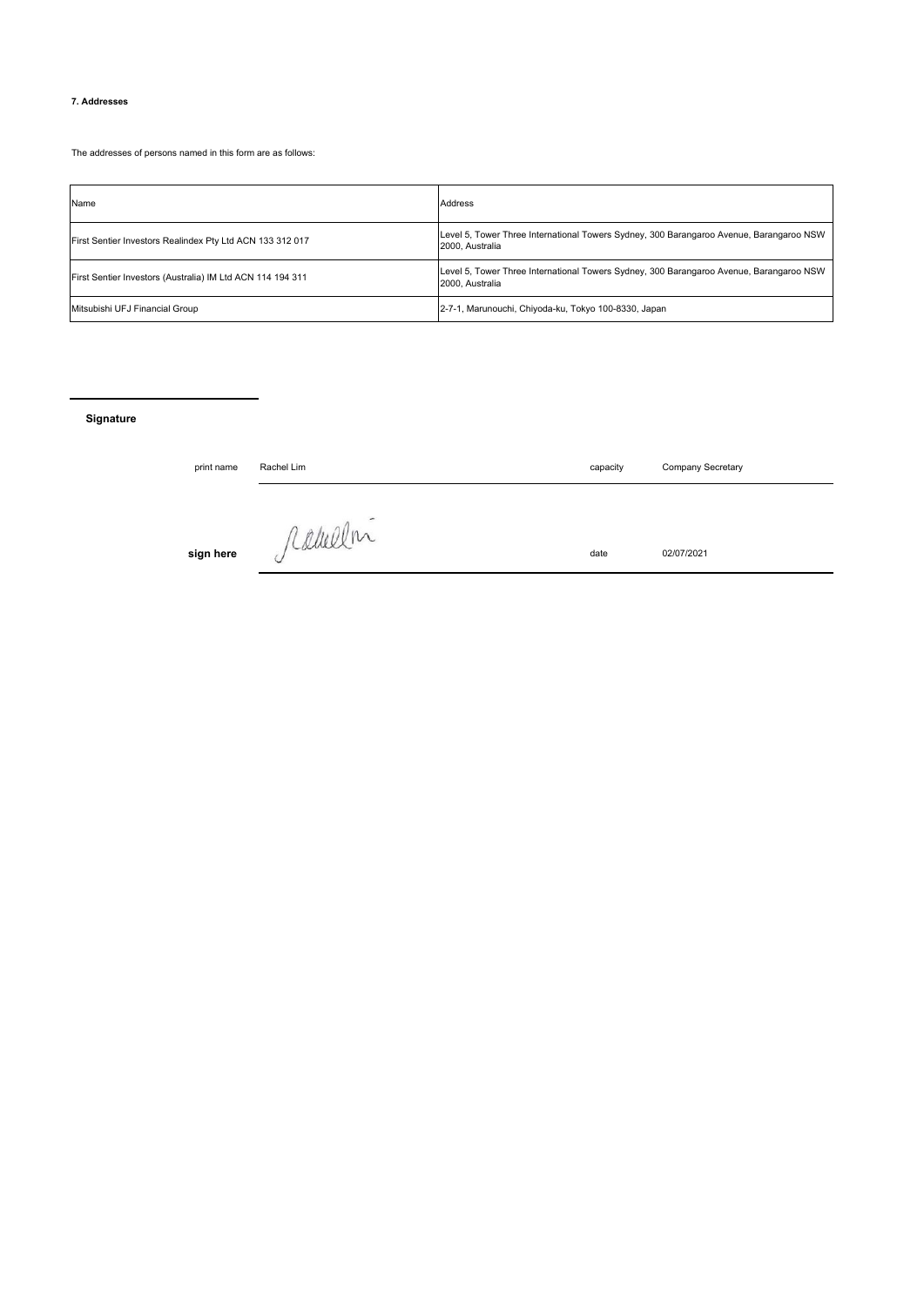### **7. Addresses**

The addresses of persons named in this form are as follows:

| Name                                                       | <b>Address</b>                                                                                             |
|------------------------------------------------------------|------------------------------------------------------------------------------------------------------------|
| First Sentier Investors Realindex Pty Ltd ACN 133 312 017  | Level 5, Tower Three International Towers Sydney, 300 Barangaroo Avenue, Barangaroo NSW<br>2000. Australia |
| First Sentier Investors (Australia) IM Ltd ACN 114 194 311 | Level 5, Tower Three International Towers Sydney, 300 Barangaroo Avenue, Barangaroo NSW<br>2000. Australia |
| Mitsubishi UFJ Financial Group                             | 2-7-1, Marunouchi, Chiyoda-ku, Tokyo 100-8330, Japan                                                       |

# **Signature**

| print name | Rachel Lim               | capacity | Company Secretary |
|------------|--------------------------|----------|-------------------|
|            | $\overline{\phantom{a}}$ |          |                   |
| sign here  | ramelin<br>$\check{}$    | date     | 02/07/2021        |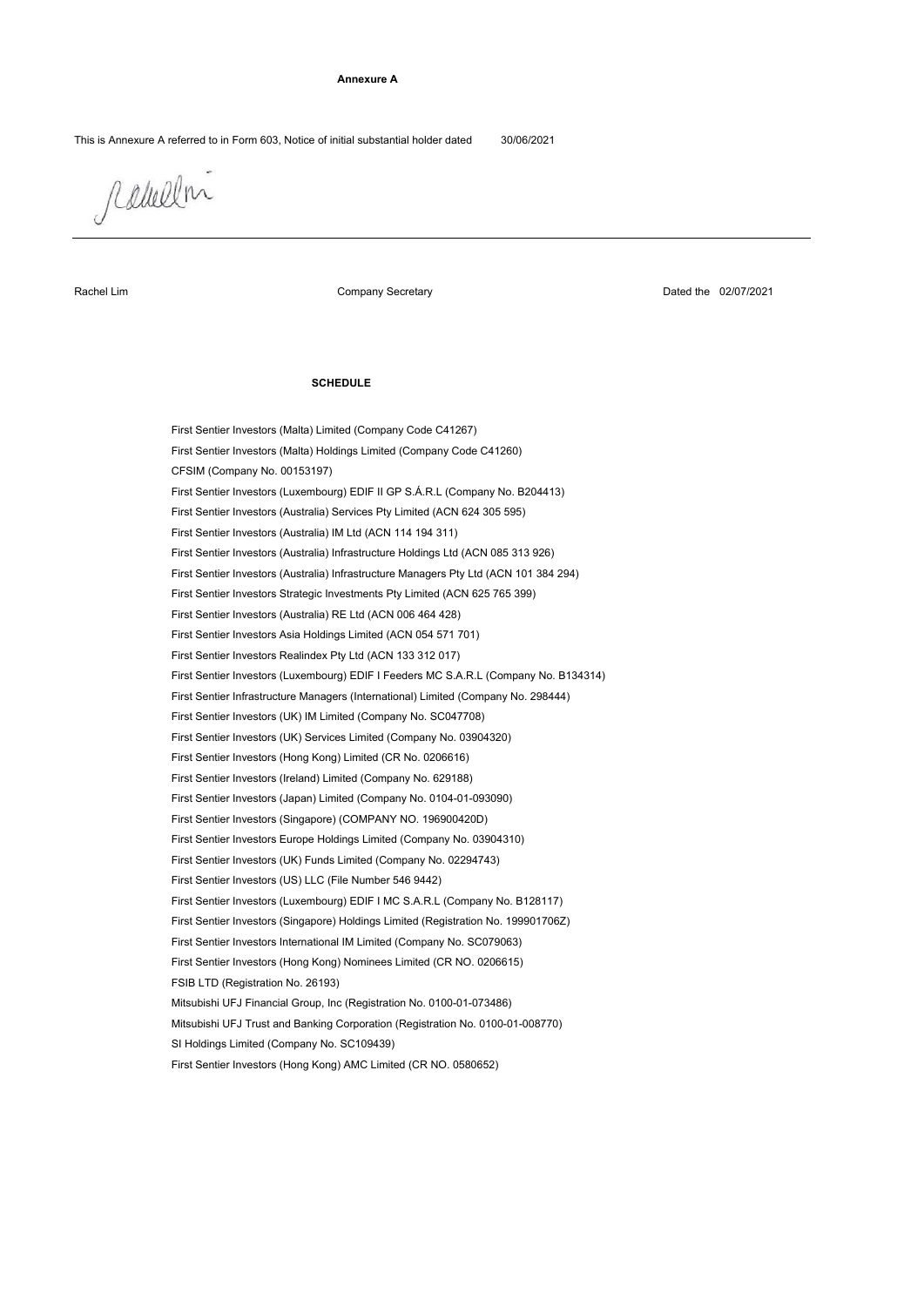#### **Annexure A**

This is Annexure A referred to in Form 603, Notice of initial substantial holder dated 30/06/2021

rabellni

Rachel Lim

Company Secretary

Dated the 02/07/2021

### **SCHEDULE**

Mitsubishi UFJ Trust and Banking Corporation (Registration No. 0100-01-008770) First Sentier Investors (Ireland) Limited (Company No. 629188) FSIB LTD (Registration No. 26193) First Sentier Investors International IM Limited (Company No. SC079063) First Sentier Investors (Luxembourg) EDIF I MC S.A.R.L (Company No. B128117) First Sentier Investors (Hong Kong) AMC Limited (CR NO. 0580652) First Sentier Investors Strategic Investments Pty Limited (ACN 625 765 399) First Sentier Investors (Australia) Infrastructure Holdings Ltd (ACN 085 313 926) First Sentier Investors Asia Holdings Limited (ACN 054 571 701) First Sentier Investors (Luxembourg) EDIF I Feeders MC S.A.R.L (Company No. B134314) First Sentier Investors (Hong Kong) Nominees Limited (CR NO. 0206615) Mitsubishi UFJ Financial Group, Inc (Registration No. 0100-01-073486) First Sentier Investors (Singapore) Holdings Limited (Registration No. 199901706Z) First Sentier Investors (US) LLC (File Number 546 9442) SI Holdings Limited (Company No. SC109439) First Sentier Investors (Australia) RE Ltd (ACN 006 464 428) First Sentier Investors (Australia) Infrastructure Managers Pty Ltd (ACN 101 384 294) First Sentier Investors Realindex Pty Ltd (ACN 133 312 017) First Sentier Infrastructure Managers (International) Limited (Company No. 298444) First Sentier Investors (UK) Funds Limited (Company No. 02294743) First Sentier Investors (Australia) Services Pty Limited (ACN 624 305 595) First Sentier Investors (Malta) Limited (Company Code C41267) CFSIM (Company No. 00153197) First Sentier Investors Europe Holdings Limited (Company No. 03904310) First Sentier Investors (UK) IM Limited (Company No. SC047708) First Sentier Investors (Hong Kong) Limited (CR No. 0206616) First Sentier Investors (Japan) Limited (Company No. 0104-01-093090) First Sentier Investors (Malta) Holdings Limited (Company Code C41260) First Sentier Investors (Australia) IM Ltd (ACN 114 194 311) First Sentier Investors (Luxembourg) EDIF II GP S.Á.R.L (Company No. B204413) First Sentier Investors (Singapore) (COMPANY NO. 196900420D) First Sentier Investors (UK) Services Limited (Company No. 03904320)